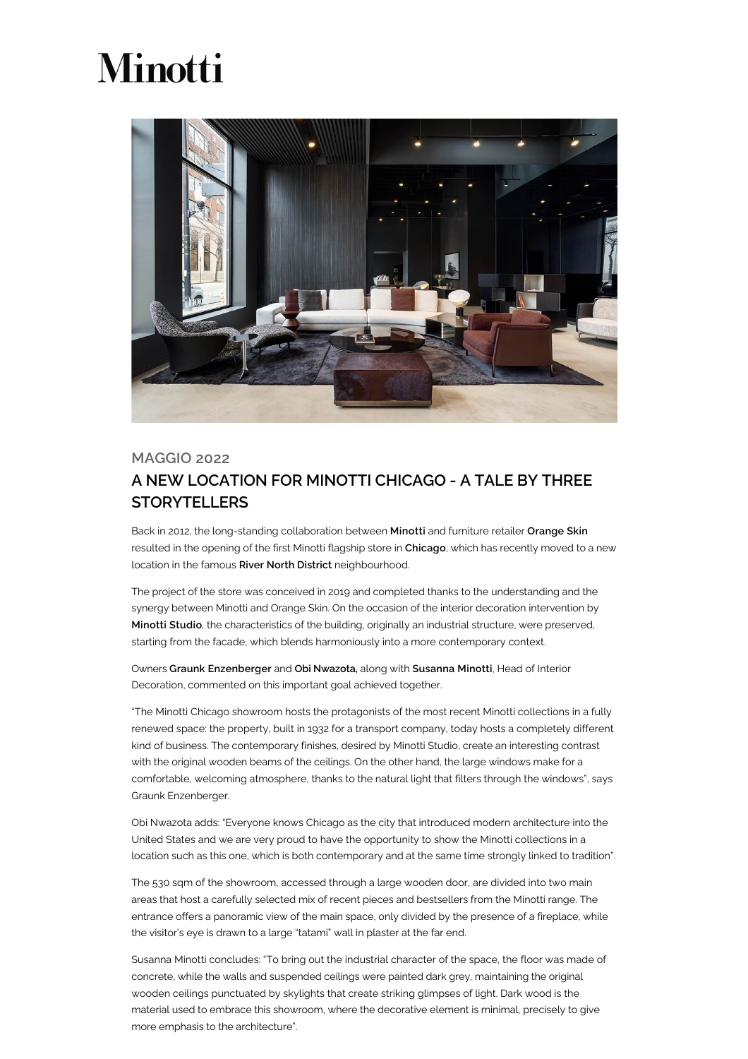## **Minotti**



## MAGGIO 2022 A NEW LOCATION FOR MINOTTI CHICAGO - A TALE BY THREE **STORYTELLERS**

Back in 2012, the long-standing collaboration between Minotti and furniture retailer Orange Skin resulted in the opening of the first Minotti flagship store in Chicago, which has recently moved to a new location in the famous River North District neighbourhood.

The project of the store was conceived in 2019 and completed thanks to the understanding and the synergy between Minotti and Orange Skin. On the occasion of the interior decoration intervention by Minotti Studio, the characteristics of the building, originally an industrial structure, were preserved, starting from the facade, which blends harmoniously into a more contemporary context.

Owners Graunk Enzenberger and Obi Nwazota, along with Susanna Minotti, Head of Interior Decoration, commented on this important goal achieved together.

"The Minotti Chicago showroom hosts the protagonists of the most recent Minotti collections in a fully renewed space: the property, built in 1932 for a transport company, today hosts a completely different kind of business. The contemporary finishes, desired by Minotti Studio, create an interesting contrast with the original wooden beams of the ceilings. On the other hand, the large windows make for a comfortable, welcoming atmosphere, thanks to the natural light that filters through the windows", says Graunk Enzenberger.

Obi Nwazota adds: "Everyone knows Chicago as the city that introduced modern architecture into the United States and we are very proud to have the opportunity to show the Minotti collections in a location such as this one, which is both contemporary and at the same time strongly linked to tradition".

The 530 sqm of the showroom, accessed through a large wooden door, are divided into two main areas that host a carefully selected mix of recent pieces and bestsellers from the Minotti range. The entrance offers a panoramic view of the main space, only divided by the presence of a fireplace, while the visitor's eye is drawn to a large "tatami" wall in plaster at the far end.

Susanna Minotti concludes: "To bring out the industrial character of the space, the floor was made of concrete, while the walls and suspended ceilings were painted dark grey, maintaining the original wooden ceilings punctuated by skylights that create striking glimpses of light. Dark wood is the material used to embrace this showroom, where the decorative element is minimal, precisely to give more emphasis to the architecture".